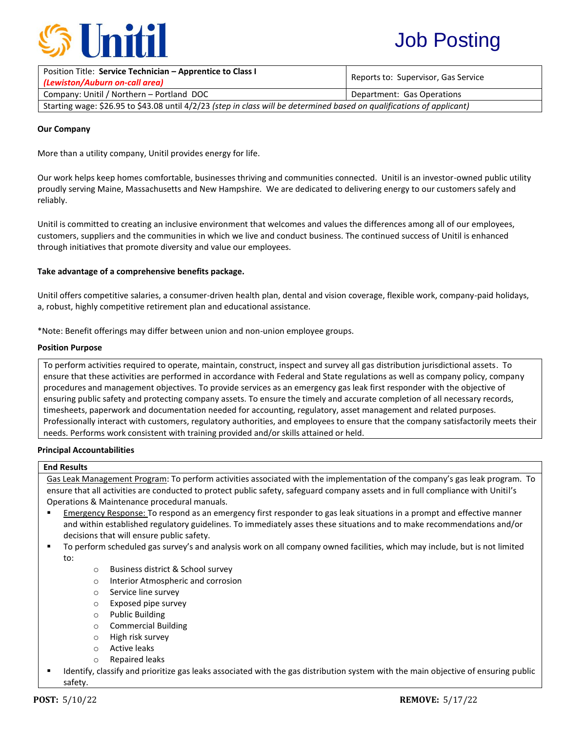

# Job Posting

| Position Title: Service Technician - Apprentice to Class I<br>(Lewiston/Auburn on-call area)                           | Reports to: Supervisor, Gas Service |
|------------------------------------------------------------------------------------------------------------------------|-------------------------------------|
| Company: Unitil / Northern - Portland DOC                                                                              | Department: Gas Operations          |
| Starting wage: \$26.95 to \$43.08 until 4/2/23 (step in class will be determined based on qualifications of applicant) |                                     |

#### **Our Company**

More than a utility company, Unitil provides energy for life.

Our work helps keep homes comfortable, businesses thriving and communities connected. Unitil is an investor-owned public utility proudly serving Maine, Massachusetts and New Hampshire. We are dedicated to delivering energy to our customers safely and reliably.

Unitil is committed to creating an inclusive environment that welcomes and values the differences among all of our employees, customers, suppliers and the communities in which we live and conduct business. The continued success of Unitil is enhanced through initiatives that promote diversity and value our employees.

## **Take advantage of a comprehensive benefits package.**

Unitil offers competitive salaries, a consumer-driven health plan, dental and vision coverage, flexible work, company-paid holidays, a, robust, highly competitive retirement plan and educational assistance.

\*Note: Benefit offerings may differ between union and non-union employee groups.

#### **Position Purpose**

To perform activities required to operate, maintain, construct, inspect and survey all gas distribution jurisdictional assets. To ensure that these activities are performed in accordance with Federal and State regulations as well as company policy, company procedures and management objectives. To provide services as an emergency gas leak first responder with the objective of ensuring public safety and protecting company assets. To ensure the timely and accurate completion of all necessary records, timesheets, paperwork and documentation needed for accounting, regulatory, asset management and related purposes. Professionally interact with customers, regulatory authorities, and employees to ensure that the company satisfactorily meets their needs. Performs work consistent with training provided and/or skills attained or held.

#### **Principal Accountabilities**

#### **End Results**

Gas Leak Management Program: To perform activities associated with the implementation of the company's gas leak program. To ensure that all activities are conducted to protect public safety, safeguard company assets and in full compliance with Unitil's Operations & Maintenance procedural manuals.

- Emergency Response: To respond as an emergency first responder to gas leak situations in a prompt and effective manner and within established regulatory guidelines. To immediately asses these situations and to make recommendations and/or decisions that will ensure public safety.
- To perform scheduled gas survey's and analysis work on all company owned facilities, which may include, but is not limited to:
	- o Business district & School survey
	- o Interior Atmospheric and corrosion
	- o Service line survey
	- o Exposed pipe survey
	- o Public Building
	- o Commercial Building
	- o High risk survey
	- o Active leaks
	- o Repaired leaks
- Identify, classify and prioritize gas leaks associated with the gas distribution system with the main objective of ensuring public safety.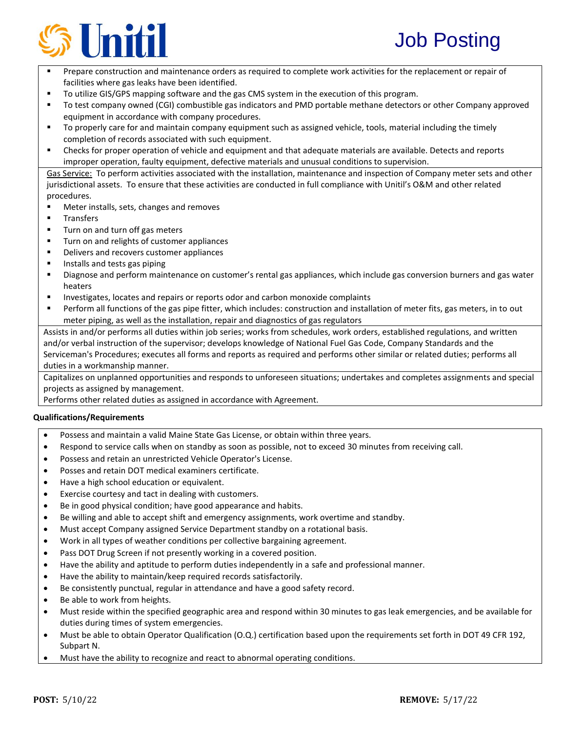

- Prepare construction and maintenance orders as required to complete work activities for the replacement or repair of facilities where gas leaks have been identified.
- To utilize GIS/GPS mapping software and the gas CMS system in the execution of this program.
- To test company owned (CGI) combustible gas indicators and PMD portable methane detectors or other Company approved equipment in accordance with company procedures.
- To properly care for and maintain company equipment such as assigned vehicle, tools, material including the timely completion of records associated with such equipment.
- Checks for proper operation of vehicle and equipment and that adequate materials are available. Detects and reports improper operation, faulty equipment, defective materials and unusual conditions to supervision.

Gas Service: To perform activities associated with the installation, maintenance and inspection of Company meter sets and other jurisdictional assets. To ensure that these activities are conducted in full compliance with Unitil's O&M and other related procedures.

- Meter installs, sets, changes and removes
- **Transfers**
- Turn on and turn off gas meters
- **Turn on and relights of customer appliances**
- **•** Delivers and recovers customer appliances
- Installs and tests gas piping
- Diagnose and perform maintenance on customer's rental gas appliances, which include gas conversion burners and gas water heaters
- **Investigates, locates and repairs or reports odor and carbon monoxide complaints**
- Perform all functions of the gas pipe fitter, which includes: construction and installation of meter fits, gas meters, in to out meter piping, as well as the installation, repair and diagnostics of gas regulators

Assists in and/or performs all duties within job series; works from schedules, work orders, established regulations, and written and/or verbal instruction of the supervisor; develops knowledge of National Fuel Gas Code, Company Standards and the Serviceman's Procedures; executes all forms and reports as required and performs other similar or related duties; performs all duties in a workmanship manner.

Capitalizes on unplanned opportunities and responds to unforeseen situations; undertakes and completes assignments and special projects as assigned by management.

Performs other related duties as assigned in accordance with Agreement.

## **Qualifications/Requirements**

- Possess and maintain a valid Maine State Gas License, or obtain within three years.
- Respond to service calls when on standby as soon as possible, not to exceed 30 minutes from receiving call.
- Possess and retain an unrestricted Vehicle Operator's License.
- Posses and retain DOT medical examiners certificate.
- Have a high school education or equivalent.
- Exercise courtesy and tact in dealing with customers.
- Be in good physical condition; have good appearance and habits.
- Be willing and able to accept shift and emergency assignments, work overtime and standby.
- Must accept Company assigned Service Department standby on a rotational basis.
- Work in all types of weather conditions per collective bargaining agreement.
- Pass DOT Drug Screen if not presently working in a covered position.
- Have the ability and aptitude to perform duties independently in a safe and professional manner.
- Have the ability to maintain/keep required records satisfactorily.
- Be consistently punctual, regular in attendance and have a good safety record.
- Be able to work from heights.
- Must reside within the specified geographic area and respond within 30 minutes to gas leak emergencies, and be available for duties during times of system emergencies.
- Must be able to obtain Operator Qualification (O.Q.) certification based upon the requirements set forth in DOT 49 CFR 192, Subpart N.
- Must have the ability to recognize and react to abnormal operating conditions.